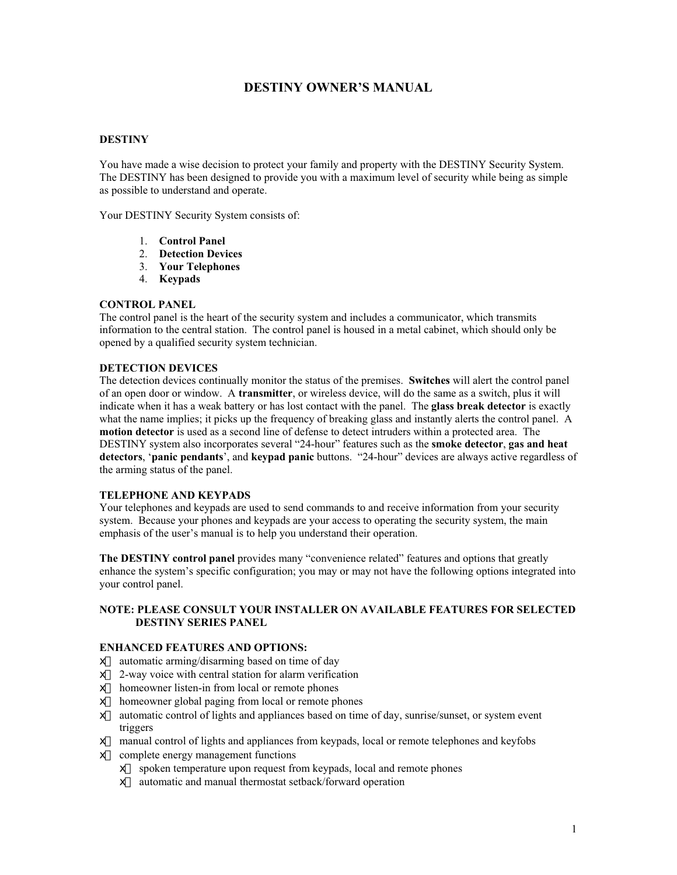# **DESTINY OWNER'S MANUAL**

### **DESTINY**

You have made a wise decision to protect your family and property with the DESTINY Security System. The DESTINY has been designed to provide you with a maximum level of security while being as simple as possible to understand and operate.

Your DESTINY Security System consists of:

- 1. **Control Panel**
- 2. **Detection Devices**
- 3. **Your Telephones**
- 4. **Keypads**

### **CONTROL PANEL**

The control panel is the heart of the security system and includes a communicator, which transmits information to the central station. The control panel is housed in a metal cabinet, which should only be opened by a qualified security system technician.

### **DETECTION DEVICES**

The detection devices continually monitor the status of the premises. **Switches** will alert the control panel of an open door or window. A **transmitter**, or wireless device, will do the same as a switch, plus it will indicate when it has a weak battery or has lost contact with the panel. The **glass break detector** is exactly what the name implies; it picks up the frequency of breaking glass and instantly alerts the control panel. A **motion detector** is used as a second line of defense to detect intruders within a protected area. The DESTINY system also incorporates several "24-hour" features such as the **smoke detector**, **gas and heat detectors**, '**panic pendants**', and **keypad panic** buttons. "24-hour" devices are always active regardless of the arming status of the panel.

#### **TELEPHONE AND KEYPADS**

Your telephones and keypads are used to send commands to and receive information from your security system. Because your phones and keypads are your access to operating the security system, the main emphasis of the user's manual is to help you understand their operation.

**The DESTINY control panel** provides many "convenience related" features and options that greatly enhance the system's specific configuration; you may or may not have the following options integrated into your control panel.

#### **NOTE: PLEASE CONSULT YOUR INSTALLER ON AVAILABLE FEATURES FOR SELECTED DESTINY SERIES PANEL**

#### **ENHANCED FEATURES AND OPTIONS:**

- $\#$  automatic arming/disarming based on time of day
- $#$  2-way voice with central station for alarm verification
- $#$  homeowner listen-in from local or remote phones
- $#$  homeowner global paging from local or remote phones
- $#$  automatic control of lights and appliances based on time of day, sunrise/sunset, or system event triggers
- $#$  manual control of lights and appliances from keypads, local or remote telephones and keyfobs
- $#$  complete energy management functions
	- $#$  spoken temperature upon request from keypads, local and remote phones
	- $#$  automatic and manual thermostat setback/forward operation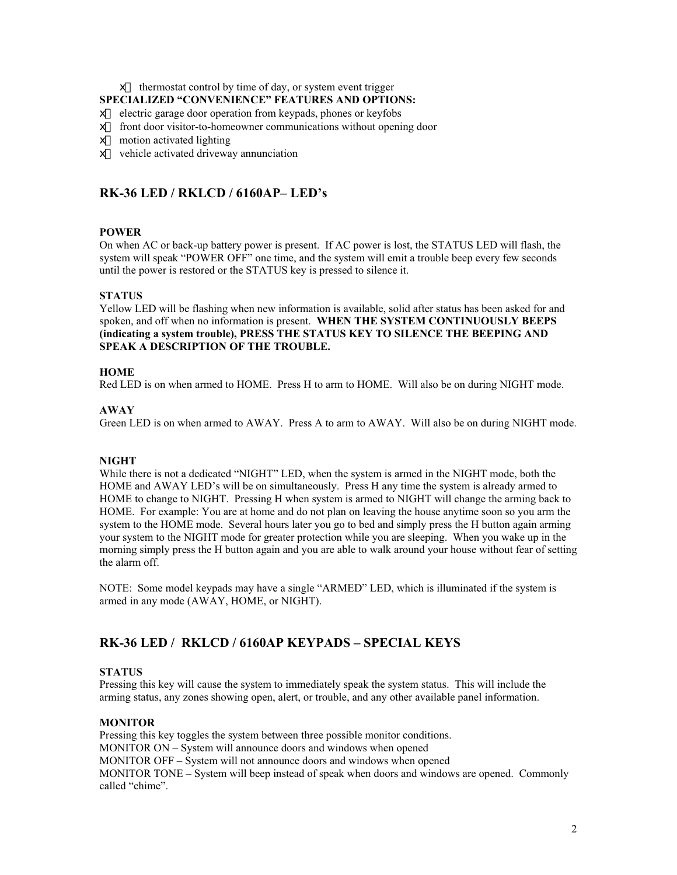$#$  thermostat control by time of day, or system event trigger

### **SPECIALIZED "CONVENIENCE" FEATURES AND OPTIONS:**

- $\#$  electric garage door operation from keypads, phones or keyfobs
- $#$  front door visitor-to-homeowner communications without opening door
- $#$  motion activated lighting
- $#$  vehicle activated driveway annunciation

## **RK-36 LED / RKLCD / 6160AP– LED's**

#### **POWER**

On when AC or back-up battery power is present. If AC power is lost, the STATUS LED will flash, the system will speak "POWER OFF" one time, and the system will emit a trouble beep every few seconds until the power is restored or the STATUS key is pressed to silence it.

#### **STATUS**

Yellow LED will be flashing when new information is available, solid after status has been asked for and spoken, and off when no information is present. **WHEN THE SYSTEM CONTINUOUSLY BEEPS (indicating a system trouble), PRESS THE STATUS KEY TO SILENCE THE BEEPING AND SPEAK A DESCRIPTION OF THE TROUBLE.**

#### **HOME**

Red LED is on when armed to HOME. Press H to arm to HOME. Will also be on during NIGHT mode.

#### **AWAY**

Green LED is on when armed to AWAY. Press A to arm to AWAY. Will also be on during NIGHT mode.

#### **NIGHT**

While there is not a dedicated "NIGHT" LED, when the system is armed in the NIGHT mode, both the HOME and AWAY LED's will be on simultaneously. Press H any time the system is already armed to HOME to change to NIGHT. Pressing H when system is armed to NIGHT will change the arming back to HOME. For example: You are at home and do not plan on leaving the house anytime soon so you arm the system to the HOME mode. Several hours later you go to bed and simply press the H button again arming your system to the NIGHT mode for greater protection while you are sleeping. When you wake up in the morning simply press the H button again and you are able to walk around your house without fear of setting the alarm off.

NOTE: Some model keypads may have a single "ARMED" LED, which is illuminated if the system is armed in any mode (AWAY, HOME, or NIGHT).

## **RK-36 LED / RKLCD / 6160AP KEYPADS – SPECIAL KEYS**

#### **STATUS**

Pressing this key will cause the system to immediately speak the system status. This will include the arming status, any zones showing open, alert, or trouble, and any other available panel information.

#### **MONITOR**

Pressing this key toggles the system between three possible monitor conditions. MONITOR ON – System will announce doors and windows when opened MONITOR OFF – System will not announce doors and windows when opened MONITOR TONE – System will beep instead of speak when doors and windows are opened. Commonly called "chime".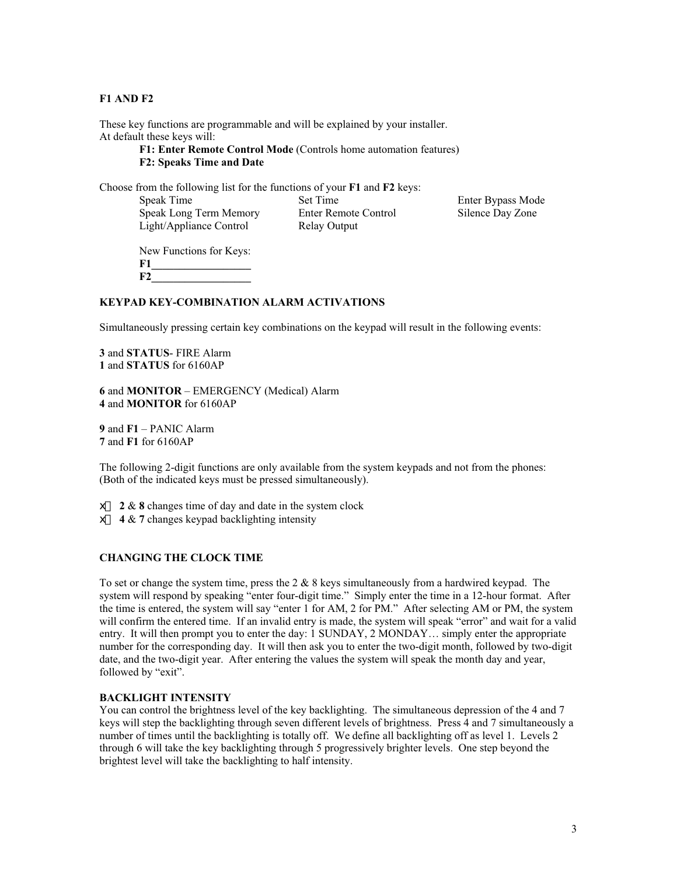### **F1 AND F2**

These key functions are programmable and will be explained by your installer. At default these keys will:

> **F1: Enter Remote Control Mode** (Controls home automation features) **F2: Speaks Time and Date**

Choose from the following list for the functions of your **F1** and **F2** keys:

| Speak Time              | Set Time             | Enter Bypass Mode |
|-------------------------|----------------------|-------------------|
| Speak Long Term Memory  | Enter Remote Control | Silence Day Zone  |
| Light/Appliance Control | Relay Output         |                   |

New Functions for Keys: **F1\_\_\_\_\_\_\_\_\_\_\_\_\_\_\_\_\_\_ F2\_\_\_\_\_\_\_\_\_\_\_\_\_\_\_\_\_\_**

#### **KEYPAD KEY-COMBINATION ALARM ACTIVATIONS**

Simultaneously pressing certain key combinations on the keypad will result in the following events:

**3** and **STATUS**- FIRE Alarm **1** and **STATUS** for 6160AP

**6** and **MONITOR** – EMERGENCY (Medical) Alarm **4** and **MONITOR** for 6160AP

**9** and **F1** – PANIC Alarm **7** and **F1** for 6160AP

The following 2-digit functions are only available from the system keypads and not from the phones: (Both of the indicated keys must be pressed simultaneously).

 $\neq 2 \& 8$  changes time of day and date in the system clock

 $\#$  4 & 7 changes keypad backlighting intensity

#### **CHANGING THE CLOCK TIME**

To set or change the system time, press the  $2 \& 8$  keys simultaneously from a hardwired keypad. The system will respond by speaking "enter four-digit time." Simply enter the time in a 12-hour format. After the time is entered, the system will say "enter 1 for AM, 2 for PM." After selecting AM or PM, the system will confirm the entered time. If an invalid entry is made, the system will speak "error" and wait for a valid entry. It will then prompt you to enter the day: 1 SUNDAY, 2 MONDAY… simply enter the appropriate number for the corresponding day. It will then ask you to enter the two-digit month, followed by two-digit date, and the two-digit year. After entering the values the system will speak the month day and year, followed by "exit".

#### **BACKLIGHT INTENSITY**

You can control the brightness level of the key backlighting. The simultaneous depression of the 4 and 7 keys will step the backlighting through seven different levels of brightness. Press 4 and 7 simultaneously a number of times until the backlighting is totally off. We define all backlighting off as level 1. Levels 2 through 6 will take the key backlighting through 5 progressively brighter levels. One step beyond the brightest level will take the backlighting to half intensity.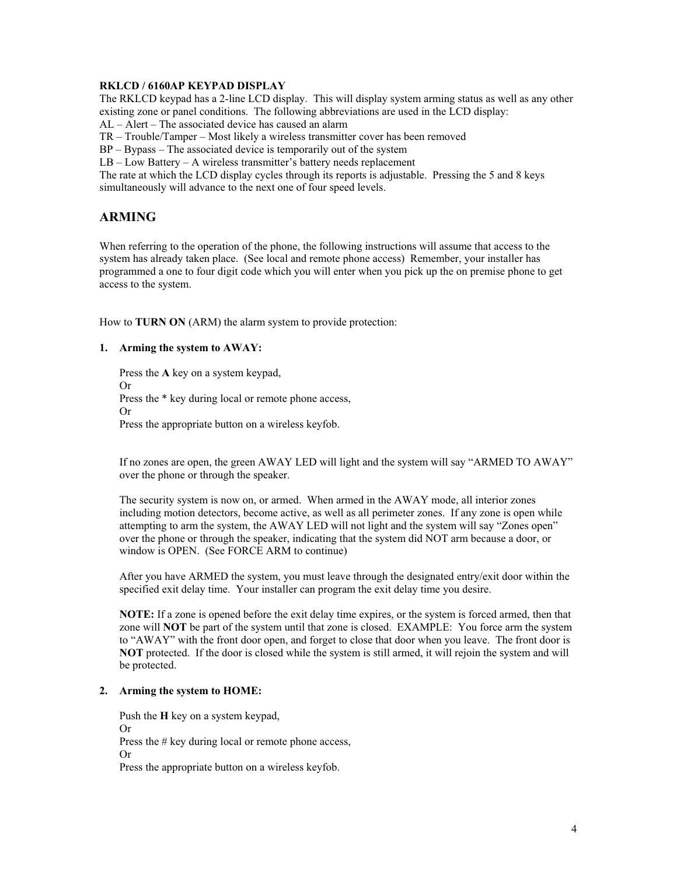### **RKLCD / 6160AP KEYPAD DISPLAY**

The RKLCD keypad has a 2-line LCD display. This will display system arming status as well as any other existing zone or panel conditions. The following abbreviations are used in the LCD display:

AL – Alert – The associated device has caused an alarm

TR – Trouble/Tamper – Most likely a wireless transmitter cover has been removed

BP – Bypass – The associated device is temporarily out of the system

LB – Low Battery – A wireless transmitter's battery needs replacement

The rate at which the LCD display cycles through its reports is adjustable. Pressing the 5 and 8 keys simultaneously will advance to the next one of four speed levels.

## **ARMING**

When referring to the operation of the phone, the following instructions will assume that access to the system has already taken place. (See local and remote phone access) Remember, your installer has programmed a one to four digit code which you will enter when you pick up the on premise phone to get access to the system.

How to **TURN ON** (ARM) the alarm system to provide protection:

### **1. Arming the system to AWAY:**

Press the **A** key on a system keypad, Or Press the \* key during local or remote phone access, Or Press the appropriate button on a wireless keyfob.

If no zones are open, the green AWAY LED will light and the system will say "ARMED TO AWAY" over the phone or through the speaker.

The security system is now on, or armed. When armed in the AWAY mode, all interior zones including motion detectors, become active, as well as all perimeter zones. If any zone is open while attempting to arm the system, the AWAY LED will not light and the system will say "Zones open" over the phone or through the speaker, indicating that the system did NOT arm because a door, or window is OPEN. (See FORCE ARM to continue)

After you have ARMED the system, you must leave through the designated entry/exit door within the specified exit delay time. Your installer can program the exit delay time you desire.

**NOTE:** If a zone is opened before the exit delay time expires, or the system is forced armed, then that zone will **NOT** be part of the system until that zone is closed. EXAMPLE: You force arm the system to "AWAY" with the front door open, and forget to close that door when you leave. The front door is **NOT** protected. If the door is closed while the system is still armed, it will rejoin the system and will be protected.

## **2. Arming the system to HOME:**

Push the **H** key on a system keypad, Or Press the # key during local or remote phone access, Or Press the appropriate button on a wireless keyfob.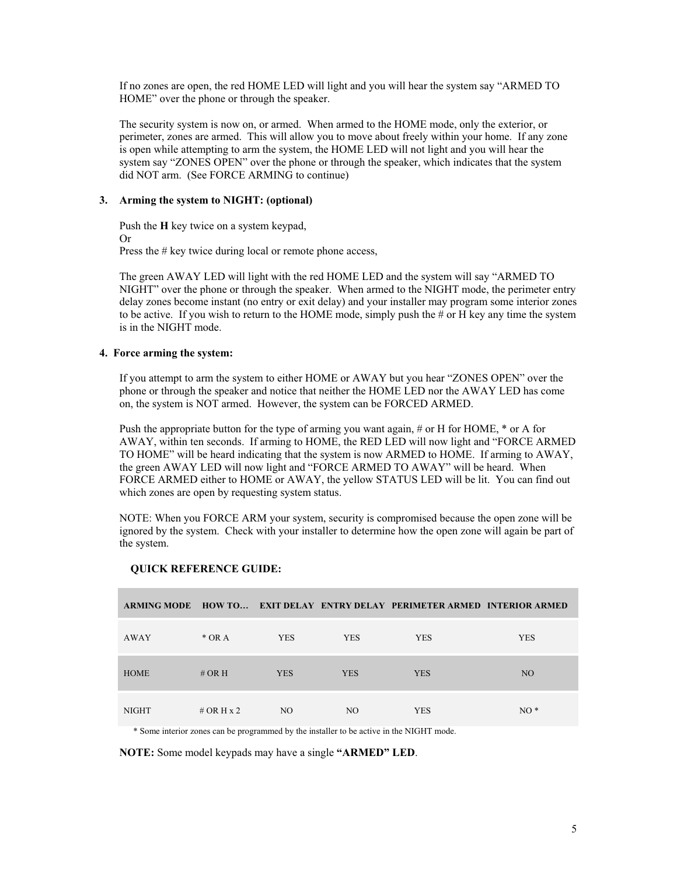If no zones are open, the red HOME LED will light and you will hear the system say "ARMED TO HOME" over the phone or through the speaker.

The security system is now on, or armed. When armed to the HOME mode, only the exterior, or perimeter, zones are armed. This will allow you to move about freely within your home. If any zone is open while attempting to arm the system, the HOME LED will not light and you will hear the system say "ZONES OPEN" over the phone or through the speaker, which indicates that the system did NOT arm. (See FORCE ARMING to continue)

### **3. Arming the system to NIGHT: (optional)**

Push the **H** key twice on a system keypad, Or Press the # key twice during local or remote phone access,

The green AWAY LED will light with the red HOME LED and the system will say "ARMED TO NIGHT" over the phone or through the speaker. When armed to the NIGHT mode, the perimeter entry delay zones become instant (no entry or exit delay) and your installer may program some interior zones to be active. If you wish to return to the HOME mode, simply push the  $\#$  or H key any time the system is in the NIGHT mode.

### **4. Force arming the system:**

If you attempt to arm the system to either HOME or AWAY but you hear "ZONES OPEN" over the phone or through the speaker and notice that neither the HOME LED nor the AWAY LED has come on, the system is NOT armed. However, the system can be FORCED ARMED.

Push the appropriate button for the type of arming you want again, # or H for HOME, \* or A for AWAY, within ten seconds. If arming to HOME, the RED LED will now light and "FORCE ARMED TO HOME" will be heard indicating that the system is now ARMED to HOME. If arming to AWAY, the green AWAY LED will now light and "FORCE ARMED TO AWAY" will be heard. When FORCE ARMED either to HOME or AWAY, the yellow STATUS LED will be lit. You can find out which zones are open by requesting system status.

NOTE: When you FORCE ARM your system, security is compromised because the open zone will be ignored by the system. Check with your installer to determine how the open zone will again be part of the system.

|              |              |            |            | ARMING MODE HOW TO EXIT DELAY ENTRY DELAY PERIMETER ARMED INTERIOR ARMED |                 |
|--------------|--------------|------------|------------|--------------------------------------------------------------------------|-----------------|
| AWAY         | $*$ OR A     | <b>YES</b> | <b>YES</b> | <b>YES</b>                                                               | <b>YES</b>      |
| <b>HOME</b>  | # OR H       | <b>YES</b> | <b>YES</b> | <b>YES</b>                                                               | NO <sub>1</sub> |
| <b>NIGHT</b> | # OR H $x$ 2 | NO.        | NO.        | <b>YES</b>                                                               | $NO*$           |

#### **QUICK REFERENCE GUIDE:**

\* Some interior zones can be programmed by the installer to be active in the NIGHT mode.

**NOTE:** Some model keypads may have a single **"ARMED" LED**.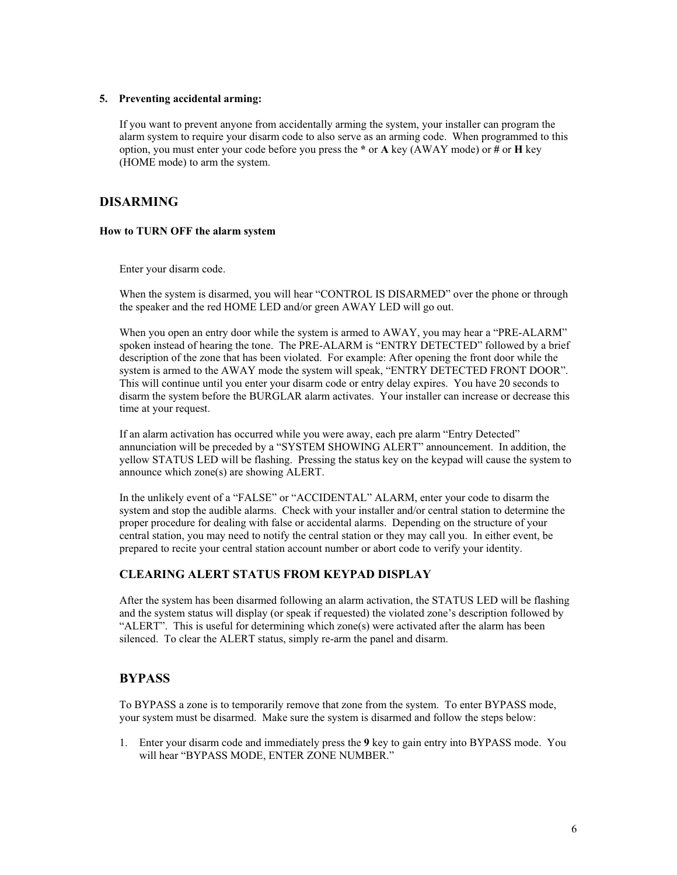#### **5. Preventing accidental arming:**

If you want to prevent anyone from accidentally arming the system, your installer can program the alarm system to require your disarm code to also serve as an arming code. When programmed to this option, you must enter your code before you press the **\*** or **A** key (AWAY mode) or **#** or **H** key (HOME mode) to arm the system.

## **DISARMING**

### **How to TURN OFF the alarm system**

Enter your disarm code.

When the system is disarmed, you will hear "CONTROL IS DISARMED" over the phone or through the speaker and the red HOME LED and/or green AWAY LED will go out.

When you open an entry door while the system is armed to AWAY, you may hear a "PRE-ALARM" spoken instead of hearing the tone. The PRE-ALARM is "ENTRY DETECTED" followed by a brief description of the zone that has been violated. For example: After opening the front door while the system is armed to the AWAY mode the system will speak, "ENTRY DETECTED FRONT DOOR". This will continue until you enter your disarm code or entry delay expires. You have 20 seconds to disarm the system before the BURGLAR alarm activates. Your installer can increase or decrease this time at your request.

If an alarm activation has occurred while you were away, each pre alarm "Entry Detected" annunciation will be preceded by a "SYSTEM SHOWING ALERT" announcement. In addition, the yellow STATUS LED will be flashing. Pressing the status key on the keypad will cause the system to announce which zone(s) are showing ALERT.

In the unlikely event of a "FALSE" or "ACCIDENTAL" ALARM, enter your code to disarm the system and stop the audible alarms. Check with your installer and/or central station to determine the proper procedure for dealing with false or accidental alarms. Depending on the structure of your central station, you may need to notify the central station or they may call you. In either event, be prepared to recite your central station account number or abort code to verify your identity.

## **CLEARING ALERT STATUS FROM KEYPAD DISPLAY**

After the system has been disarmed following an alarm activation, the STATUS LED will be flashing and the system status will display (or speak if requested) the violated zone's description followed by "ALERT". This is useful for determining which zone(s) were activated after the alarm has been silenced. To clear the ALERT status, simply re-arm the panel and disarm.

## **BYPASS**

To BYPASS a zone is to temporarily remove that zone from the system. To enter BYPASS mode, your system must be disarmed. Make sure the system is disarmed and follow the steps below:

1. Enter your disarm code and immediately press the **9** key to gain entry into BYPASS mode. You will hear "BYPASS MODE, ENTER ZONE NUMBER."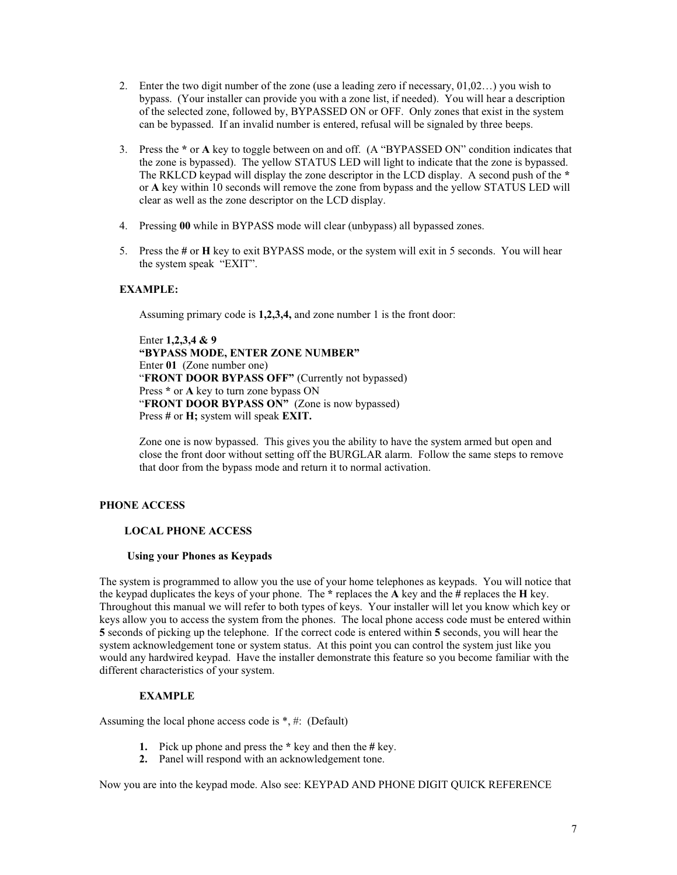- 2. Enter the two digit number of the zone (use a leading zero if necessary, 01,02…) you wish to bypass. (Your installer can provide you with a zone list, if needed). You will hear a description of the selected zone, followed by, BYPASSED ON or OFF. Only zones that exist in the system can be bypassed. If an invalid number is entered, refusal will be signaled by three beeps.
- 3. Press the **\*** or **A** key to toggle between on and off. (A "BYPASSED ON" condition indicates that the zone is bypassed). The yellow STATUS LED will light to indicate that the zone is bypassed. The RKLCD keypad will display the zone descriptor in the LCD display. A second push of the **\*** or **A** key within 10 seconds will remove the zone from bypass and the yellow STATUS LED will clear as well as the zone descriptor on the LCD display.
- 4. Pressing **00** while in BYPASS mode will clear (unbypass) all bypassed zones.
- 5. Press the **#** or **H** key to exit BYPASS mode, or the system will exit in 5 seconds. You will hear the system speak "EXIT".

## **EXAMPLE:**

Assuming primary code is **1,2,3,4,** and zone number 1 is the front door:

Enter **1,2,3,4 & 9 "BYPASS MODE, ENTER ZONE NUMBER"** Enter **01** (Zone number one) "**FRONT DOOR BYPASS OFF"** (Currently not bypassed) Press **\*** or **A** key to turn zone bypass ON "**FRONT DOOR BYPASS ON"** (Zone is now bypassed) Press **#** or **H;** system will speak **EXIT.**

Zone one is now bypassed. This gives you the ability to have the system armed but open and close the front door without setting off the BURGLAR alarm. Follow the same steps to remove that door from the bypass mode and return it to normal activation.

## **PHONE ACCESS**

## **LOCAL PHONE ACCESS**

#### **Using your Phones as Keypads**

The system is programmed to allow you the use of your home telephones as keypads. You will notice that the keypad duplicates the keys of your phone. The **\*** replaces the **A** key and the **#** replaces the **H** key. Throughout this manual we will refer to both types of keys. Your installer will let you know which key or keys allow you to access the system from the phones. The local phone access code must be entered within **5** seconds of picking up the telephone. If the correct code is entered within **5** seconds, you will hear the system acknowledgement tone or system status. At this point you can control the system just like you would any hardwired keypad. Have the installer demonstrate this feature so you become familiar with the different characteristics of your system.

## **EXAMPLE**

Assuming the local phone access code is \*, #: (Default)

- **1.** Pick up phone and press the **\*** key and then the **#** key.
- **2.** Panel will respond with an acknowledgement tone.

Now you are into the keypad mode. Also see: KEYPAD AND PHONE DIGIT QUICK REFERENCE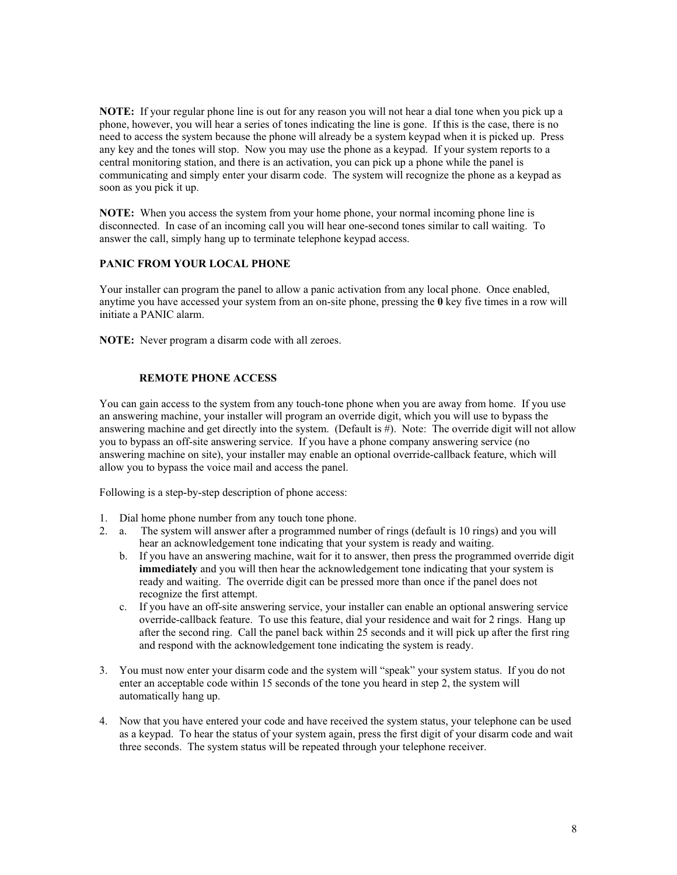**NOTE:** If your regular phone line is out for any reason you will not hear a dial tone when you pick up a phone, however, you will hear a series of tones indicating the line is gone. If this is the case, there is no need to access the system because the phone will already be a system keypad when it is picked up. Press any key and the tones will stop. Now you may use the phone as a keypad. If your system reports to a central monitoring station, and there is an activation, you can pick up a phone while the panel is communicating and simply enter your disarm code. The system will recognize the phone as a keypad as soon as you pick it up.

**NOTE:** When you access the system from your home phone, your normal incoming phone line is disconnected. In case of an incoming call you will hear one-second tones similar to call waiting. To answer the call, simply hang up to terminate telephone keypad access.

## **PANIC FROM YOUR LOCAL PHONE**

Your installer can program the panel to allow a panic activation from any local phone. Once enabled, anytime you have accessed your system from an on-site phone, pressing the **0** key five times in a row will initiate a PANIC alarm.

**NOTE:** Never program a disarm code with all zeroes.

### **REMOTE PHONE ACCESS**

You can gain access to the system from any touch-tone phone when you are away from home. If you use an answering machine, your installer will program an override digit, which you will use to bypass the answering machine and get directly into the system. (Default is #). Note: The override digit will not allow you to bypass an off-site answering service. If you have a phone company answering service (no answering machine on site), your installer may enable an optional override-callback feature, which will allow you to bypass the voice mail and access the panel.

Following is a step-by-step description of phone access:

- 1. Dial home phone number from any touch tone phone.
- 2. a. The system will answer after a programmed number of rings (default is 10 rings) and you will hear an acknowledgement tone indicating that your system is ready and waiting.
	- b. If you have an answering machine, wait for it to answer, then press the programmed override digit **immediately** and you will then hear the acknowledgement tone indicating that your system is ready and waiting. The override digit can be pressed more than once if the panel does not recognize the first attempt.
	- c. If you have an off-site answering service, your installer can enable an optional answering service override-callback feature. To use this feature, dial your residence and wait for 2 rings. Hang up after the second ring. Call the panel back within 25 seconds and it will pick up after the first ring and respond with the acknowledgement tone indicating the system is ready.
- 3. You must now enter your disarm code and the system will "speak" your system status. If you do not enter an acceptable code within 15 seconds of the tone you heard in step 2, the system will automatically hang up.
- 4. Now that you have entered your code and have received the system status, your telephone can be used as a keypad. To hear the status of your system again, press the first digit of your disarm code and wait three seconds. The system status will be repeated through your telephone receiver.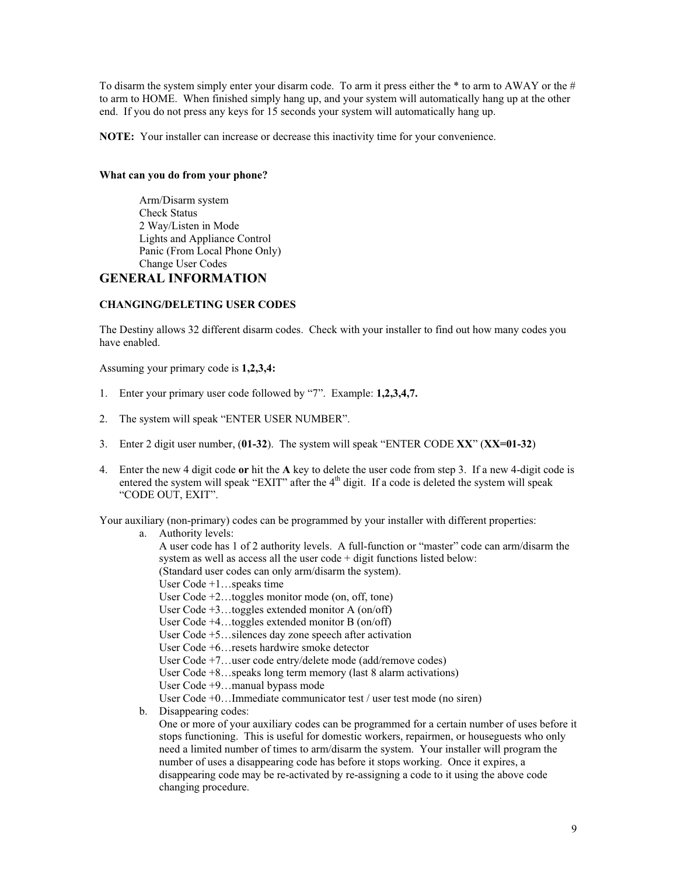To disarm the system simply enter your disarm code. To arm it press either the \* to arm to AWAY or the # to arm to HOME. When finished simply hang up, and your system will automatically hang up at the other end. If you do not press any keys for 15 seconds your system will automatically hang up.

**NOTE:** Your installer can increase or decrease this inactivity time for your convenience.

#### **What can you do from your phone?**

 Arm/Disarm system Check Status 2 Way/Listen in Mode Lights and Appliance Control Panic (From Local Phone Only) Change User Codes

# **GENERAL INFORMATION**

## **CHANGING/DELETING USER CODES**

The Destiny allows 32 different disarm codes. Check with your installer to find out how many codes you have enabled.

Assuming your primary code is **1,2,3,4:**

- 1. Enter your primary user code followed by "7". Example: **1,2,3,4,7.**
- 2. The system will speak "ENTER USER NUMBER".
- 3. Enter 2 digit user number, (**01-32**). The system will speak "ENTER CODE **XX**" (**XX=01-32**)
- 4. Enter the new 4 digit code **or** hit the **A** key to delete the user code from step 3. If a new 4-digit code is entered the system will speak "EXIT" after the  $4<sup>th</sup>$  digit. If a code is deleted the system will speak "CODE OUT, EXIT".

Your auxiliary (non-primary) codes can be programmed by your installer with different properties:

a. Authority levels:

A user code has 1 of 2 authority levels. A full-function or "master" code can arm/disarm the system as well as access all the user code + digit functions listed below: (Standard user codes can only arm/disarm the system). User Code +1…speaks time User Code +2…toggles monitor mode (on, off, tone) User Code +3…toggles extended monitor A (on/off) User Code +4…toggles extended monitor B (on/off) User Code +5…silences day zone speech after activation User Code +6…resets hardwire smoke detector User Code +7…user code entry/delete mode (add/remove codes) User Code +8…speaks long term memory (last 8 alarm activations) User Code +9…manual bypass mode User Code +0…Immediate communicator test / user test mode (no siren) b. Disappearing codes: One or more of your auxiliary codes can be programmed for a certain number of uses before it stops functioning. This is useful for domestic workers, repairmen, or houseguests who only need a limited number of times to arm/disarm the system. Your installer will program the number of uses a disappearing code has before it stops working. Once it expires, a disappearing code may be re-activated by re-assigning a code to it using the above code changing procedure.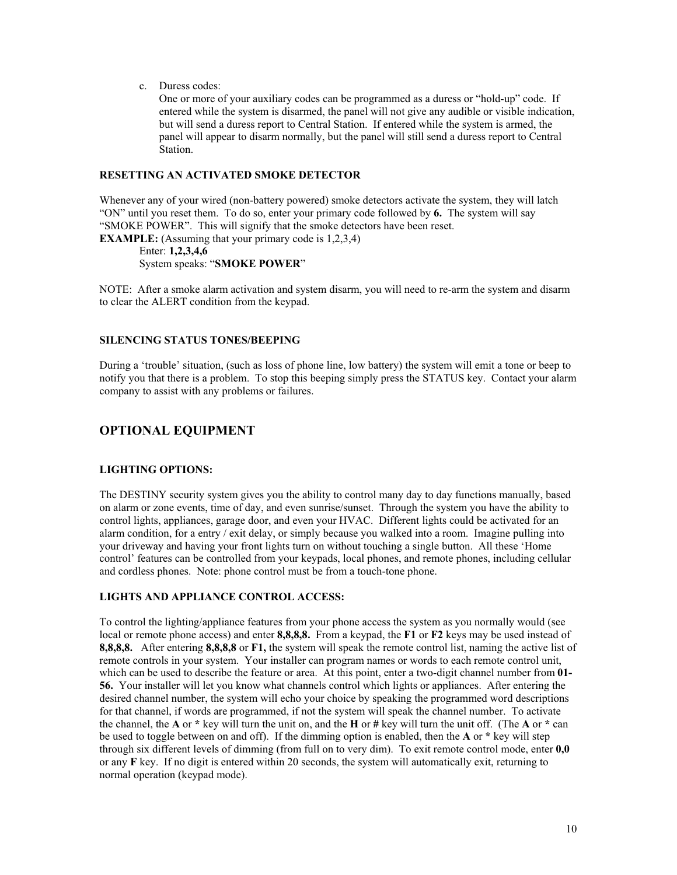c. Duress codes:

One or more of your auxiliary codes can be programmed as a duress or "hold-up" code. If entered while the system is disarmed, the panel will not give any audible or visible indication, but will send a duress report to Central Station. If entered while the system is armed, the panel will appear to disarm normally, but the panel will still send a duress report to Central Station.

### **RESETTING AN ACTIVATED SMOKE DETECTOR**

Whenever any of your wired (non-battery powered) smoke detectors activate the system, they will latch "ON" until you reset them. To do so, enter your primary code followed by **6.** The system will say "SMOKE POWER". This will signify that the smoke detectors have been reset. **EXAMPLE:** (Assuming that your primary code is 1,2,3,4)

Enter: **1,2,3,4,6**

System speaks: "**SMOKE POWER**"

NOTE: After a smoke alarm activation and system disarm, you will need to re-arm the system and disarm to clear the ALERT condition from the keypad.

## **SILENCING STATUS TONES/BEEPING**

During a 'trouble' situation, (such as loss of phone line, low battery) the system will emit a tone or beep to notify you that there is a problem. To stop this beeping simply press the STATUS key. Contact your alarm company to assist with any problems or failures.

# **OPTIONAL EQUIPMENT**

## **LIGHTING OPTIONS:**

The DESTINY security system gives you the ability to control many day to day functions manually, based on alarm or zone events, time of day, and even sunrise/sunset. Through the system you have the ability to control lights, appliances, garage door, and even your HVAC. Different lights could be activated for an alarm condition, for a entry  $/$  exit delay, or simply because you walked into a room. Imagine pulling into your driveway and having your front lights turn on without touching a single button. All these 'Home control' features can be controlled from your keypads, local phones, and remote phones, including cellular and cordless phones. Note: phone control must be from a touch-tone phone.

## **LIGHTS AND APPLIANCE CONTROL ACCESS:**

To control the lighting/appliance features from your phone access the system as you normally would (see local or remote phone access) and enter **8,8,8,8.** From a keypad, the **F1** or **F2** keys may be used instead of **8,8,8,8.** After entering **8,8,8,8** or **F1,** the system will speak the remote control list, naming the active list of remote controls in your system. Your installer can program names or words to each remote control unit, which can be used to describe the feature or area. At this point, enter a two-digit channel number from **01- 56.** Your installer will let you know what channels control which lights or appliances. After entering the desired channel number, the system will echo your choice by speaking the programmed word descriptions for that channel, if words are programmed, if not the system will speak the channel number. To activate the channel, the **A** or **\*** key will turn the unit on, and the **H** or **#** key will turn the unit off. (The **A** or **\*** can be used to toggle between on and off). If the dimming option is enabled, then the **A** or **\*** key will step through six different levels of dimming (from full on to very dim). To exit remote control mode, enter **0,0** or any **F** key. If no digit is entered within 20 seconds, the system will automatically exit, returning to normal operation (keypad mode).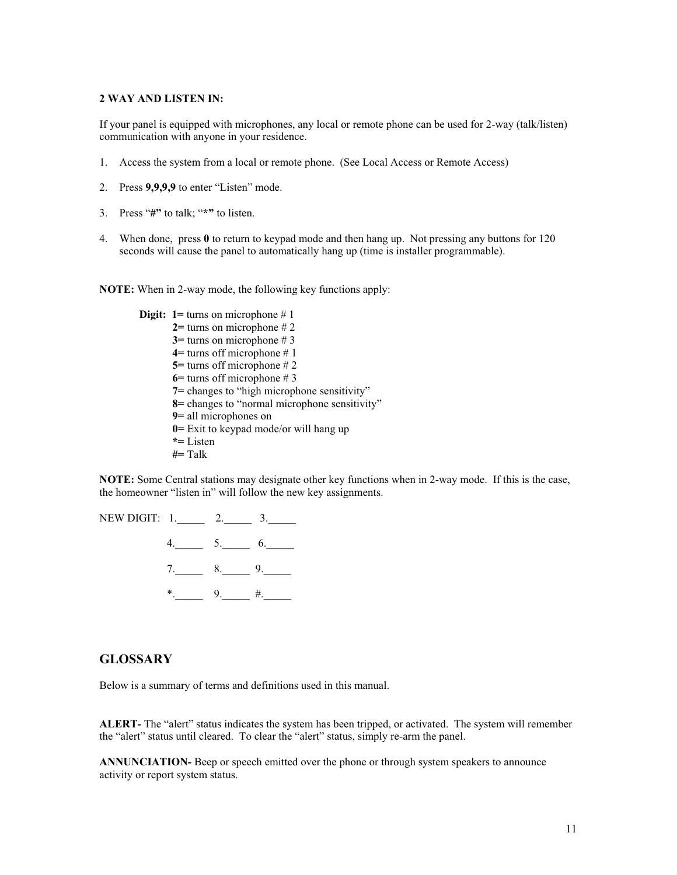### **2 WAY AND LISTEN IN:**

If your panel is equipped with microphones, any local or remote phone can be used for 2-way (talk/listen) communication with anyone in your residence.

- 1. Access the system from a local or remote phone. (See Local Access or Remote Access)
- 2. Press **9,9,9,9** to enter "Listen" mode.
- 3. Press "**#"** to talk; "**\*"** to listen.
- 4. When done, press **0** to return to keypad mode and then hang up. Not pressing any buttons for 120 seconds will cause the panel to automatically hang up (time is installer programmable).

**NOTE:** When in 2-way mode, the following key functions apply:

**Digit:** 1= turns on microphone # 1 **2=** turns on microphone # 2 **3=** turns on microphone # 3 **4=** turns off microphone # 1 **5=** turns off microphone # 2 **6=** turns off microphone # 3 **7=** changes to "high microphone sensitivity" **8=** changes to "normal microphone sensitivity" **9=** all microphones on **0=** Exit to keypad mode/or will hang up **\*=** Listen **#=** Talk

**NOTE:** Some Central stations may designate other key functions when in 2-way mode. If this is the case, the homeowner "listen in" will follow the new key assignments.

NEW DIGIT: 1. 2. 3.



## **GLOSSARY**

Below is a summary of terms and definitions used in this manual.

**ALERT-** The "alert" status indicates the system has been tripped, or activated. The system will remember the "alert" status until cleared. To clear the "alert" status, simply re-arm the panel.

**ANNUNCIATION-** Beep or speech emitted over the phone or through system speakers to announce activity or report system status.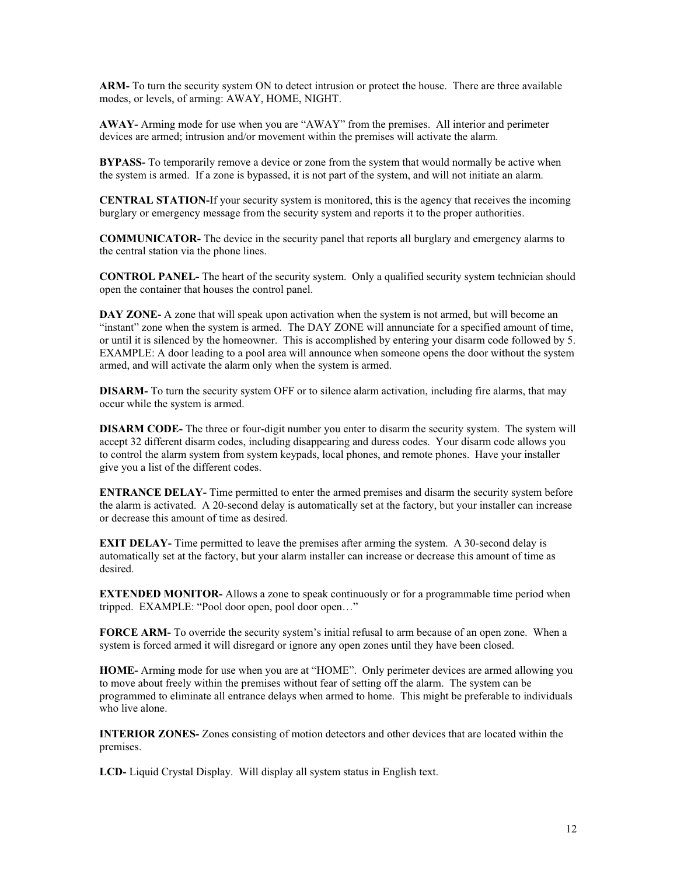**ARM-** To turn the security system ON to detect intrusion or protect the house. There are three available modes, or levels, of arming: AWAY, HOME, NIGHT.

**AWAY-** Arming mode for use when you are "AWAY" from the premises. All interior and perimeter devices are armed; intrusion and/or movement within the premises will activate the alarm.

**BYPASS-** To temporarily remove a device or zone from the system that would normally be active when the system is armed. If a zone is bypassed, it is not part of the system, and will not initiate an alarm.

**CENTRAL STATION-**If your security system is monitored, this is the agency that receives the incoming burglary or emergency message from the security system and reports it to the proper authorities.

**COMMUNICATOR-** The device in the security panel that reports all burglary and emergency alarms to the central station via the phone lines.

**CONTROL PANEL-** The heart of the security system. Only a qualified security system technician should open the container that houses the control panel.

**DAY ZONE-** A zone that will speak upon activation when the system is not armed, but will become an "instant" zone when the system is armed. The DAY ZONE will annunciate for a specified amount of time, or until it is silenced by the homeowner. This is accomplished by entering your disarm code followed by 5. EXAMPLE: A door leading to a pool area will announce when someone opens the door without the system armed, and will activate the alarm only when the system is armed.

**DISARM-** To turn the security system OFF or to silence alarm activation, including fire alarms, that may occur while the system is armed.

**DISARM CODE-** The three or four-digit number you enter to disarm the security system. The system will accept 32 different disarm codes, including disappearing and duress codes. Your disarm code allows you to control the alarm system from system keypads, local phones, and remote phones. Have your installer give you a list of the different codes.

**ENTRANCE DELAY-** Time permitted to enter the armed premises and disarm the security system before the alarm is activated. A 20-second delay is automatically set at the factory, but your installer can increase or decrease this amount of time as desired.

**EXIT DELAY-** Time permitted to leave the premises after arming the system. A 30-second delay is automatically set at the factory, but your alarm installer can increase or decrease this amount of time as desired.

**EXTENDED MONITOR-** Allows a zone to speak continuously or for a programmable time period when tripped. EXAMPLE: "Pool door open, pool door open…"

**FORCE ARM-** To override the security system's initial refusal to arm because of an open zone. When a system is forced armed it will disregard or ignore any open zones until they have been closed.

**HOME-** Arming mode for use when you are at "HOME". Only perimeter devices are armed allowing you to move about freely within the premises without fear of setting off the alarm. The system can be programmed to eliminate all entrance delays when armed to home. This might be preferable to individuals who live alone.

**INTERIOR ZONES-** Zones consisting of motion detectors and other devices that are located within the premises.

**LCD-** Liquid Crystal Display. Will display all system status in English text.